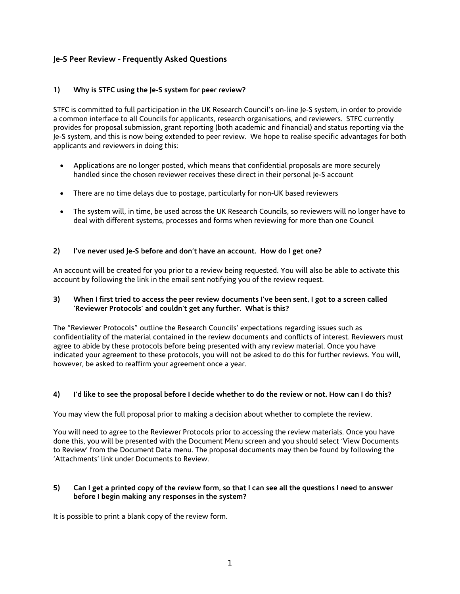## **Je-S Peer Review - Frequently Asked Questions**

### **1) Why is STFC using the Je-S system for peer review?**

STFC is committed to full participation in the UK Research Council's on-line Je-S system, in order to provide a common interface to all Councils for applicants, research organisations, and reviewers. STFC currently provides for proposal submission, grant reporting (both academic and financial) and status reporting via the Je-S system, and this is now being extended to peer review. We hope to realise specific advantages for both applicants and reviewers in doing this:

- Applications are no longer posted, which means that confidential proposals are more securely handled since the chosen reviewer receives these direct in their personal Je-S account
- There are no time delays due to postage, particularly for non-UK based reviewers
- The system will, in time, be used across the UK Research Councils, so reviewers will no longer have to deal with different systems, processes and forms when reviewing for more than one Council

### **2) I've never used Je-S before and don't have an account. How do I get one?**

An account will be created for you prior to a review being requested. You will also be able to activate this account by following the link in the email sent notifying you of the review request.

### **3) When I first tried to access the peer review documents I've been sent, I got to a screen called 'Reviewer Protocols' and couldn't get any further. What is this?**

The "Reviewer Protocols" outline the Research Councils' expectations regarding issues such as confidentiality of the material contained in the review documents and conflicts of interest. Reviewers must agree to abide by these protocols before being presented with any review material. Once you have indicated your agreement to these protocols, you will not be asked to do this for further reviews. You will, however, be asked to reaffirm your agreement once a year.

#### **4) I'd like to see the proposal before I decide whether to do the review or not. How can I do this?**

You may view the full proposal prior to making a decision about whether to complete the review.

You will need to agree to the Reviewer Protocols prior to accessing the review materials. Once you have done this, you will be presented with the Document Menu screen and you should select 'View Documents to Review' from the Document Data menu. The proposal documents may then be found by following the 'Attachments' link under Documents to Review.

### **5) Can I get a printed copy of the review form, so that I can see all the questions I need to answer before I begin making any responses in the system?**

It is possible to print a blank copy of the review form.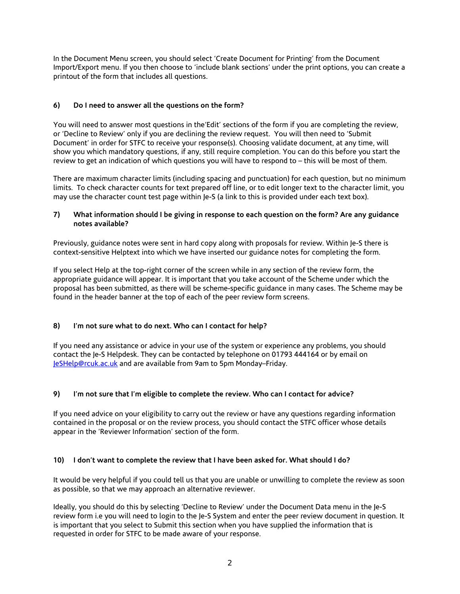In the Document Menu screen, you should select 'Create Document for Printing' from the Document Import/Export menu. If you then choose to 'include blank sections' under the print options, you can create a printout of the form that includes all questions.

# **6) Do I need to answer all the questions on the form?**

You will need to answer most questions in the'Edit' sections of the form if you are completing the review, or 'Decline to Review' only if you are declining the review request. You will then need to 'Submit Document' in order for STFC to receive your response(s). Choosing validate document, at any time, will show you which mandatory questions, if any, still require completion. You can do this before you start the review to get an indication of which questions you will have to respond to – this will be most of them.

There are maximum character limits (including spacing and punctuation) for each question, but no minimum limits. To check character counts for text prepared off line, or to edit longer text to the character limit, you may use the [character count test page](javascript:ShowTester();) within Je-S (a link to this is provided under each text box).

## **7) What information should I be giving in response to each question on the form? Are any guidance notes available?**

Previously, guidance notes were sent in hard copy along with proposals for review. Within Je-S there is context-sensitive Helptext into which we have inserted our guidance notes for completing the form.

If you select Help at the top-right corner of the screen while in any section of the review form, the appropriate guidance will appear. It is important that you take account of the Scheme under which the proposal has been submitted, as there will be scheme-specific guidance in many cases. The Scheme may be found in the header banner at the top of each of the peer review form screens.

# **8) I'm not sure what to do next. Who can I contact for help?**

If you need any assistance or advice in your use of the system or experience any problems, you should contact the Je-S Helpdesk. They can be contacted by telephone on 01793 444164 or by email on [JeSHelp@rcuk.ac.uk](mailto:JeSHelp@rcuk.ac.uk) and are available from 9am to 5pm Monday–Friday.

# **9) I'm not sure that I'm eligible to complete the review. Who can I contact for advice?**

If you need advice on your eligibility to carry out the review or have any questions regarding information contained in the proposal or on the review process, you should contact the STFC officer whose details appear in the 'Reviewer Information' section of the form.

# **10) I don't want to complete the review that I have been asked for. What should I do?**

It would be very helpful if you could tell us that you are unable or unwilling to complete the review as soon as possible, so that we may approach an alternative reviewer.

Ideally, you should do this by selecting 'Decline to Review' under the Document Data menu in the Je-S review form i.e you will need to login to the Je-S System and enter the peer review document in question. It is important that you select to Submit this section when you have supplied the information that is requested in order for STFC to be made aware of your response.